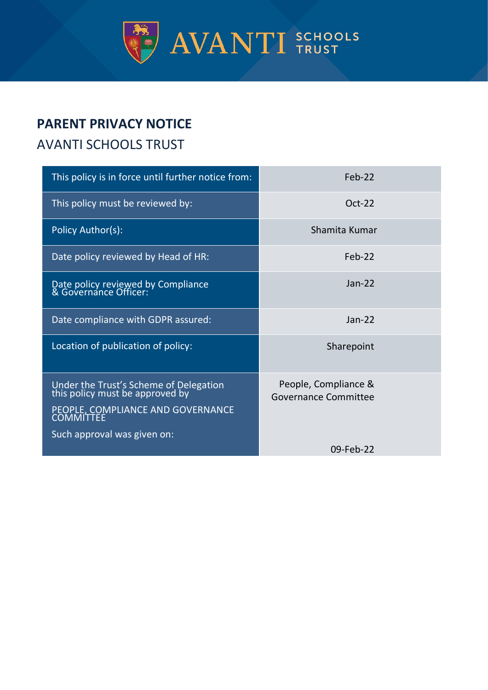

# **PARENT PRIVACY NOTICE**

## AVANTI SCHOOLS TRUST

| This policy is in force until further notice from:                                                                                                                | Feb-22                                       |
|-------------------------------------------------------------------------------------------------------------------------------------------------------------------|----------------------------------------------|
| This policy must be reviewed by:                                                                                                                                  | $Oct-22$                                     |
| Policy Author(s):                                                                                                                                                 | Shamita Kumar                                |
| Date policy reviewed by Head of HR:                                                                                                                               | Feb-22                                       |
| Date policy reviewed by Compliance<br>& Governance Officer:                                                                                                       | $Jan-22$                                     |
| Date compliance with GDPR assured:                                                                                                                                | $Jan-22$                                     |
| Location of publication of policy:                                                                                                                                | Sharepoint                                   |
| Under the Trust's Scheme of Delegation<br>this policy must be approved by<br>PEOPLE, COMPLIANCE AND GOVERNANCE<br><b>COMMITTEE</b><br>Such approval was given on: | People, Compliance &<br>Governance Committee |
|                                                                                                                                                                   | 09-Feb-22                                    |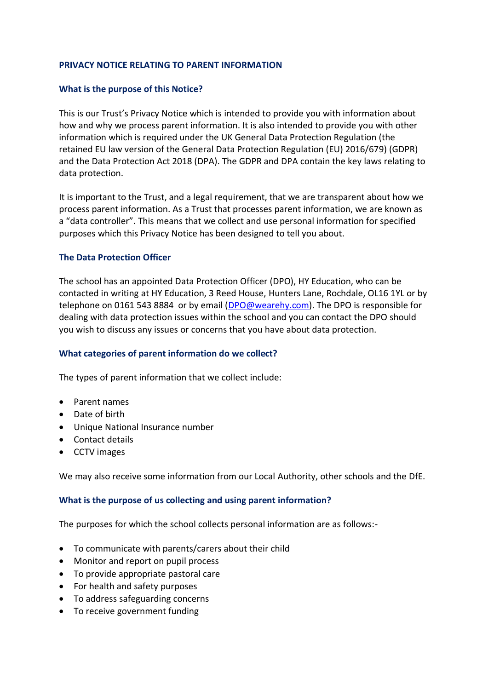## **PRIVACY NOTICE RELATING TO PARENT INFORMATION**

## **What is the purpose of this Notice?**

This is our Trust's Privacy Notice which is intended to provide you with information about how and why we process parent information. It is also intended to provide you with other information which is required under the UK General Data Protection Regulation (the retained EU law version of the General Data Protection Regulation (EU) 2016/679) (GDPR) and the Data Protection Act 2018 (DPA). The GDPR and DPA contain the key laws relating to data protection.

It is important to the Trust, and a legal requirement, that we are transparent about how we process parent information. As a Trust that processes parent information, we are known as a "data controller". This means that we collect and use personal information for specified purposes which this Privacy Notice has been designed to tell you about.

#### **The Data Protection Officer**

The school has an appointed Data Protection Officer (DPO), HY Education, who can be contacted in writing at HY Education, 3 Reed House, Hunters Lane, Rochdale, OL16 1YL or by telephone on 0161 543 8884 or by email [\(DPO@wearehy.com\)](mailto:DPO@wearehy.com). The DPO is responsible for dealing with data protection issues within the school and you can contact the DPO should you wish to discuss any issues or concerns that you have about data protection.

#### **What categories of parent information do we collect?**

The types of parent information that we collect include:

- Parent names
- Date of birth
- Unique National Insurance number
- Contact details
- CCTV images

We may also receive some information from our Local Authority, other schools and the DfE.

#### **What is the purpose of us collecting and using parent information?**

The purposes for which the school collects personal information are as follows:-

- To communicate with parents/carers about their child
- Monitor and report on pupil process
- To provide appropriate pastoral care
- For health and safety purposes
- To address safeguarding concerns
- To receive government funding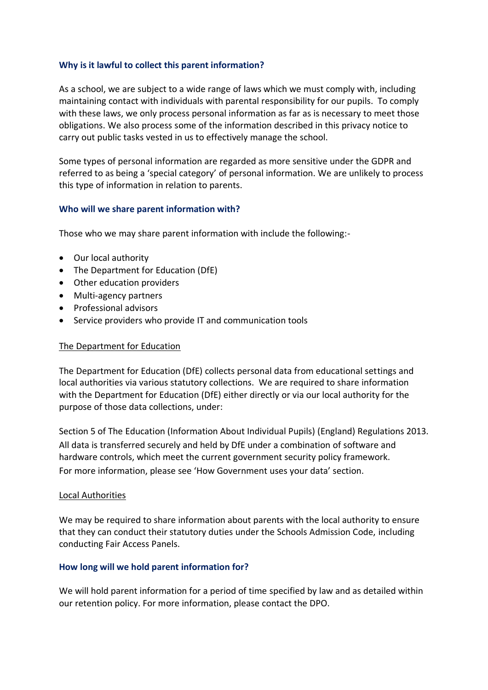## **Why is it lawful to collect this parent information?**

As a school, we are subject to a wide range of laws which we must comply with, including maintaining contact with individuals with parental responsibility for our pupils. To comply with these laws, we only process personal information as far as is necessary to meet those obligations. We also process some of the information described in this privacy notice to carry out public tasks vested in us to effectively manage the school.

Some types of personal information are regarded as more sensitive under the GDPR and referred to as being a 'special category' of personal information. We are unlikely to process this type of information in relation to parents.

#### **Who will we share parent information with?**

Those who we may share parent information with include the following:-

- Our local authority
- The Department for Education (DfE)
- Other education providers
- Multi-agency partners
- Professional advisors
- Service providers who provide IT and communication tools

#### The Department for Education

The Department for Education (DfE) collects personal data from educational settings and local authorities via various statutory collections. We are required to share information with the Department for Education (DfE) either directly or via our local authority for the purpose of those data collections, under:

Section 5 of The Education (Information About Individual Pupils) (England) Regulations 2013. All data is transferred securely and held by DfE under a combination of software and hardware controls, which meet the current government security policy framework. For more information, please see 'How Government uses your data' section.

#### Local Authorities

We may be required to share information about parents with the local authority to ensure that they can conduct their statutory duties under the Schools Admission Code, including conducting Fair Access Panels.

#### **How long will we hold parent information for?**

We will hold parent information for a period of time specified by law and as detailed within our retention policy. For more information, please contact the DPO.